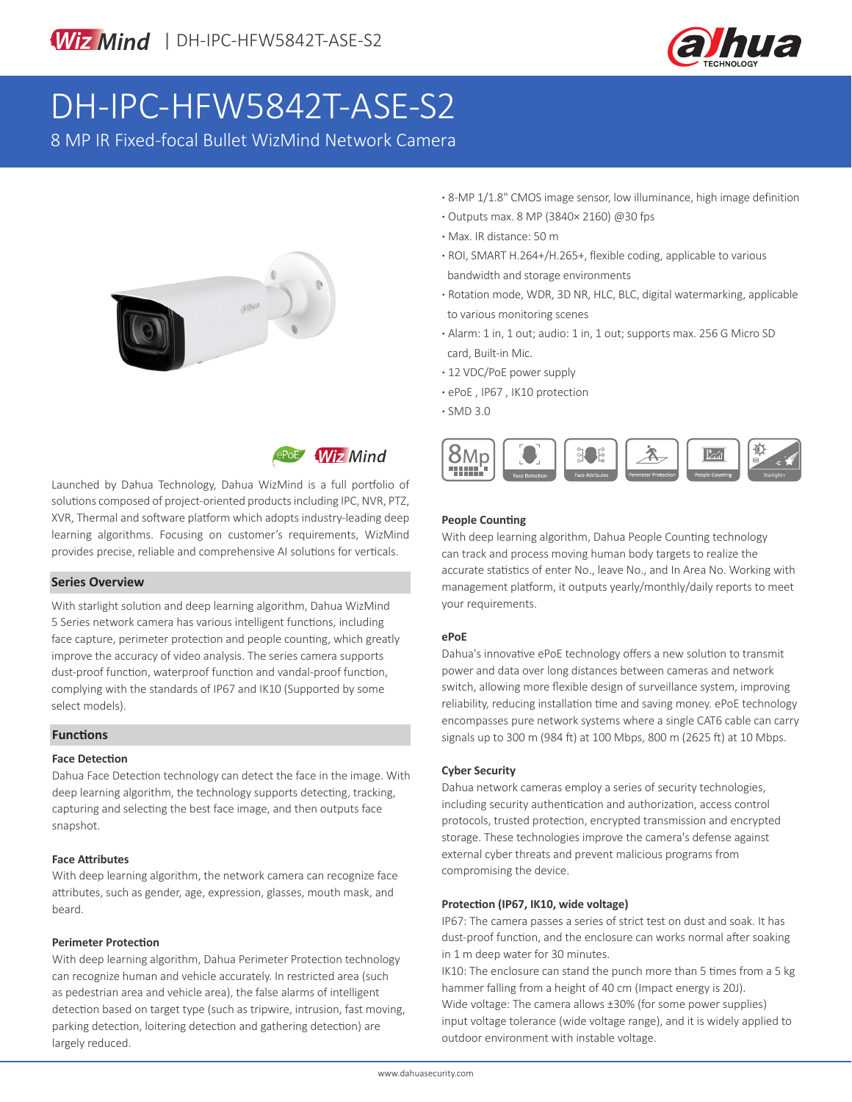

# DH-IPC-HFW5842T-ASE-S2

8 MP IR Fixed-focal Bullet WizMind Network Camera





Launched by Dahua Technology, Dahua WizMind is a full portfolio of solutions composed of project-oriented products including IPC, NVR, PTZ, XVR, Thermal and software platform which adopts industry-leading deep learning algorithms. Focusing on customer's requirements, WizMind provides precise, reliable and comprehensive AI solutions for verticals.

### **Series Overview**

With starlight solution and deep learning algorithm, Dahua WizMind 5 Series network camera has various intelligent functions, including face capture, perimeter protection and people counting, which greatly improve the accuracy of video analysis. The series camera supports dust-proof function, waterproof function and vandal-proof function, complying with the standards of IP67 and IK10 (Supported by some select models).

#### **Functions**

#### **Face Detection**

Dahua Face Detection technology can detect the face in the image. With deep learning algorithm, the technology supports detecting, tracking, capturing and selecting the best face image, and then outputs face snapshot.

#### **Face Attributes**

With deep learning algorithm, the network camera can recognize face attributes, such as gender, age, expression, glasses, mouth mask, and beard.

#### **Perimeter Protection**

With deep learning algorithm, Dahua Perimeter Protection technology can recognize human and vehicle accurately. In restricted area (such as pedestrian area and vehicle area), the false alarms of intelligent detection based on target type (such as tripwire, intrusion, fast moving, parking detection, loitering detection and gathering detection) are largely reduced.

- **·** 8-MP 1/1.8" CMOS image sensor, low illuminance, high image definition
- **·** Outputs max. 8 MP (3840× 2160) @30 fps
- **·** Max. IR distance: 50 m
- **·** ROI, SMART H.264+/H.265+, flexible coding, applicable to various bandwidth and storage environments
- **·** Rotation mode, WDR, 3D NR, HLC, BLC, digital watermarking, applicable to various monitoring scenes
- **·** Alarm: 1 in, 1 out; audio: 1 in, 1 out; supports max. 256 G Micro SD card, Built-in Mic.
- **·** 12 VDC/PoE power supply
- **·** ePoE , IP67 , IK10 protection
- **·** SMD 3.0



#### **People Counting**

With deep learning algorithm, Dahua People Counting technology can track and process moving human body targets to realize the accurate statistics of enter No., leave No., and In Area No. Working with management platform, it outputs yearly/monthly/daily reports to meet your requirements.

#### **ePoE**

Dahua's innovative ePoE technology offers a new solution to transmit power and data over long distances between cameras and network switch, allowing more flexible design of surveillance system, improving reliability, reducing installation time and saving money. ePoE technology encompasses pure network systems where a single CAT6 cable can carry signals up to 300 m (984 ft) at 100 Mbps, 800 m (2625 ft) at 10 Mbps.

#### **Cyber Security**

Dahua network cameras employ a series of security technologies, including security authentication and authorization, access control protocols, trusted protection, encrypted transmission and encrypted storage. These technologies improve the camera's defense against external cyber threats and prevent malicious programs from compromising the device.

#### **Protection (IP67, IK10, wide voltage)**

IP67: The camera passes a series of strict test on dust and soak. It has dust-proof function, and the enclosure can works normal after soaking in 1 m deep water for 30 minutes.

IK10: The enclosure can stand the punch more than 5 times from a 5 kg hammer falling from a height of 40 cm (Impact energy is 20J). Wide voltage: The camera allows ±30% (for some power supplies) input voltage tolerance (wide voltage range), and it is widely applied to outdoor environment with instable voltage.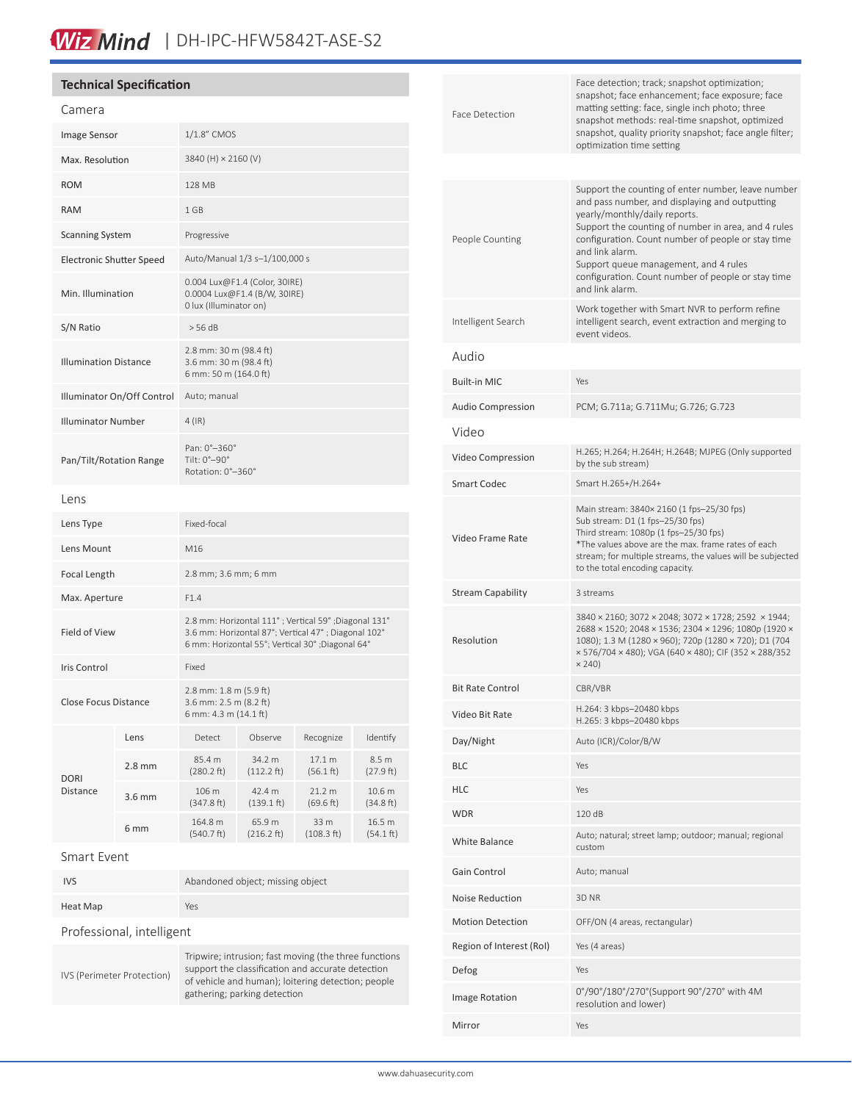# Wiz Mind | DH-IPC-HFW5842T-ASE-S2

| <b>Technical Specification</b>         |                      |                                                                                                                                                                 |                                                       |                     |                                |  | Face detection; track; snapshot optimization;<br>snapshot; face enhancement; face exposure; face |                                                                                                                                                                                                                                                                                                                                                                                                                                           |
|----------------------------------------|----------------------|-----------------------------------------------------------------------------------------------------------------------------------------------------------------|-------------------------------------------------------|---------------------|--------------------------------|--|--------------------------------------------------------------------------------------------------|-------------------------------------------------------------------------------------------------------------------------------------------------------------------------------------------------------------------------------------------------------------------------------------------------------------------------------------------------------------------------------------------------------------------------------------------|
| Camera                                 |                      |                                                                                                                                                                 |                                                       |                     |                                |  | Face Detection                                                                                   | matting setting: face, single inch photo; three                                                                                                                                                                                                                                                                                                                                                                                           |
| Image Sensor                           |                      | 1/1.8" CMOS                                                                                                                                                     |                                                       |                     |                                |  |                                                                                                  | snapshot methods: real-time snapshot, optimized<br>snapshot, quality priority snapshot; face angle filter;<br>optimization time setting                                                                                                                                                                                                                                                                                                   |
| 3840 (H) × 2160 (V)<br>Max. Resolution |                      |                                                                                                                                                                 |                                                       |                     |                                |  |                                                                                                  |                                                                                                                                                                                                                                                                                                                                                                                                                                           |
| <b>ROM</b>                             |                      |                                                                                                                                                                 | 128 MB                                                |                     |                                |  | People Counting                                                                                  | Support the counting of enter number, leave number<br>and pass number, and displaying and outputting<br>yearly/monthly/daily reports.<br>Support the counting of number in area, and 4 rules<br>configuration. Count number of people or stay time<br>and link alarm.<br>Support queue management, and 4 rules<br>configuration. Count number of people or stay time<br>and link alarm.<br>Work together with Smart NVR to perform refine |
| <b>RAM</b>                             |                      | 1 GB                                                                                                                                                            |                                                       |                     |                                |  |                                                                                                  |                                                                                                                                                                                                                                                                                                                                                                                                                                           |
| <b>Scanning System</b>                 |                      | Progressive                                                                                                                                                     |                                                       |                     |                                |  |                                                                                                  |                                                                                                                                                                                                                                                                                                                                                                                                                                           |
| <b>Electronic Shutter Speed</b>        |                      | Auto/Manual 1/3 s-1/100,000 s                                                                                                                                   |                                                       |                     |                                |  |                                                                                                  |                                                                                                                                                                                                                                                                                                                                                                                                                                           |
| Min. Illumination                      |                      | 0.004 Lux@F1.4 (Color, 30IRE)<br>0.0004 Lux@F1.4 (B/W, 30IRE)<br>0 lux (Illuminator on)                                                                         |                                                       |                     |                                |  |                                                                                                  |                                                                                                                                                                                                                                                                                                                                                                                                                                           |
| S/N Ratio                              |                      |                                                                                                                                                                 |                                                       |                     |                                |  | Intelligent Search                                                                               | intelligent search, event extraction and merging to<br>event videos.                                                                                                                                                                                                                                                                                                                                                                      |
| <b>Illumination Distance</b>           |                      | 2.8 mm: 30 m (98.4 ft)<br>3.6 mm: 30 m (98.4 ft)                                                                                                                |                                                       |                     |                                |  | Audio                                                                                            |                                                                                                                                                                                                                                                                                                                                                                                                                                           |
|                                        |                      | 6 mm: 50 m (164.0 ft)                                                                                                                                           |                                                       |                     |                                |  | <b>Built-in MIC</b>                                                                              | Yes                                                                                                                                                                                                                                                                                                                                                                                                                                       |
| Illuminator On/Off Control             |                      | Auto; manual                                                                                                                                                    |                                                       |                     |                                |  | Audio Compression                                                                                | PCM; G.711a; G.711Mu; G.726; G.723                                                                                                                                                                                                                                                                                                                                                                                                        |
| <b>Illuminator Number</b>              |                      | $4$ (IR)                                                                                                                                                        |                                                       |                     |                                |  | Video                                                                                            |                                                                                                                                                                                                                                                                                                                                                                                                                                           |
| Pan/Tilt/Rotation Range                |                      | Pan: 0°-360°<br>Tilt: 0°-90°<br>Rotation: 0°-360°                                                                                                               |                                                       |                     |                                |  | Video Compression                                                                                | H.265; H.264; H.264H; H.264B; MJPEG (Only supported<br>by the sub stream)                                                                                                                                                                                                                                                                                                                                                                 |
|                                        |                      |                                                                                                                                                                 |                                                       |                     |                                |  | <b>Smart Codec</b>                                                                               | Smart H.265+/H.264+                                                                                                                                                                                                                                                                                                                                                                                                                       |
| Lens                                   |                      |                                                                                                                                                                 |                                                       |                     |                                |  |                                                                                                  | Main stream: 3840× 2160 (1 fps-25/30 fps)<br>Sub stream: D1 (1 fps-25/30 fps)                                                                                                                                                                                                                                                                                                                                                             |
| Lens Type                              |                      | Fixed-focal<br>M16                                                                                                                                              |                                                       |                     |                                |  | Video Frame Rate                                                                                 | Third stream: 1080p (1 fps-25/30 fps)<br>*The values above are the max. frame rates of each                                                                                                                                                                                                                                                                                                                                               |
| Lens Mount<br>Focal Length             |                      | 2.8 mm; 3.6 mm; 6 mm                                                                                                                                            |                                                       |                     |                                |  |                                                                                                  | stream; for multiple streams, the values will be subjected<br>to the total encoding capacity.                                                                                                                                                                                                                                                                                                                                             |
| Max. Aperture                          |                      | F1.4                                                                                                                                                            |                                                       |                     |                                |  | <b>Stream Capability</b>                                                                         | 3 streams                                                                                                                                                                                                                                                                                                                                                                                                                                 |
| Field of View                          |                      | 2.8 mm: Horizontal 111°; Vertical 59°; Diagonal 131°<br>3.6 mm: Horizontal 87°; Vertical 47°; Diagonal 102°<br>6 mm: Horizontal 55°; Vertical 30°; Diagonal 64° |                                                       |                     |                                |  | Resolution                                                                                       | 3840 × 2160; 3072 × 2048; 3072 × 1728; 2592 × 1944;<br>2688 × 1520; 2048 × 1536; 2304 × 1296; 1080p (1920 ×<br>1080); 1.3 M (1280 × 960); 720p (1280 × 720); D1 (704<br>× 576/704 × 480); VGA (640 × 480); CIF (352 × 288/352                                                                                                                                                                                                             |
| Iris Control                           |                      |                                                                                                                                                                 |                                                       |                     |                                |  |                                                                                                  | $\times$ 240)                                                                                                                                                                                                                                                                                                                                                                                                                             |
|                                        | Close Focus Distance |                                                                                                                                                                 | 2.8 mm: $1.8$ m ( $5.9$ ft)<br>3.6 mm: 2.5 m (8.2 ft) |                     |                                |  | <b>Bit Rate Control</b>                                                                          | CBR/VBR                                                                                                                                                                                                                                                                                                                                                                                                                                   |
|                                        |                      | 6 mm: 4.3 m (14.1 ft)                                                                                                                                           |                                                       |                     |                                |  | Video Bit Rate                                                                                   | H.264: 3 kbps-20480 kbps<br>H.265: 3 kbps-20480 kbps                                                                                                                                                                                                                                                                                                                                                                                      |
|                                        | Lens                 | Detect                                                                                                                                                          | Observe                                               | Recognize           | Identify                       |  | Day/Night                                                                                        | Auto (ICR)/Color/B/W                                                                                                                                                                                                                                                                                                                                                                                                                      |
| <b>DORI</b><br>Distance                | $2.8 \text{ mm}$     | 85.4 m<br>(280.2 ft)                                                                                                                                            | 34.2 m<br>$(112.2 \text{ ft})$                        | 17.1 m<br>(56.1 ft) | 8.5 m<br>(27.9 ft)             |  | <b>BLC</b>                                                                                       | Yes                                                                                                                                                                                                                                                                                                                                                                                                                                       |
|                                        | 3.6 mm               | 106 m<br>(347.8 ft)                                                                                                                                             | 42.4 m<br>(139.1 ft)                                  | 21.2 m<br>(69.6 ft) | 10.6 <sub>m</sub><br>(34.8 ft) |  | <b>HLC</b>                                                                                       | Yes                                                                                                                                                                                                                                                                                                                                                                                                                                       |
|                                        | 6 mm                 | 164.8 m                                                                                                                                                         | 65.9 m                                                | 33 m                | 16.5 m                         |  | <b>WDR</b>                                                                                       | 120 dB                                                                                                                                                                                                                                                                                                                                                                                                                                    |
| Smart Event                            |                      | (540.7 ft)                                                                                                                                                      | (216.2 ft)                                            | (108.3 ft)          | $(54.1 \text{ ft})$            |  | White Balance                                                                                    | Auto; natural; street lamp; outdoor; manual; regional<br>custom                                                                                                                                                                                                                                                                                                                                                                           |
| <b>IVS</b>                             |                      | Abandoned object; missing object                                                                                                                                |                                                       |                     |                                |  | Gain Control                                                                                     | Auto; manual                                                                                                                                                                                                                                                                                                                                                                                                                              |
| Heat Map                               |                      |                                                                                                                                                                 |                                                       |                     |                                |  | Noise Reduction                                                                                  | 3D NR                                                                                                                                                                                                                                                                                                                                                                                                                                     |
|                                        |                      | Yes                                                                                                                                                             |                                                       |                     |                                |  | <b>Motion Detection</b>                                                                          | OFF/ON (4 areas, rectangular)                                                                                                                                                                                                                                                                                                                                                                                                             |

Professional, intelligent

IVS (Perimeter Protection)

Tripwire; intrusion; fast moving (the three functions support the classification and accurate detection of vehicle and human); loitering detection; people gathering; parking detection

| People Counting          | Support the counting of number in area, and 4 rules<br>configuration. Count number of people or stay time<br>and link alarm.<br>Support queue management, and 4 rules<br>configuration. Count number of people or stay time<br>and link alarm.                                |  |  |
|--------------------------|-------------------------------------------------------------------------------------------------------------------------------------------------------------------------------------------------------------------------------------------------------------------------------|--|--|
| Intelligent Search       | Work together with Smart NVR to perform refine<br>intelligent search, event extraction and merging to<br>event videos.                                                                                                                                                        |  |  |
| Audio                    |                                                                                                                                                                                                                                                                               |  |  |
| <b>Built-in MIC</b>      | Yes                                                                                                                                                                                                                                                                           |  |  |
| <b>Audio Compression</b> | PCM; G.711a; G.711Mu; G.726; G.723                                                                                                                                                                                                                                            |  |  |
| Video                    |                                                                                                                                                                                                                                                                               |  |  |
| Video Compression        | H.265; H.264; H.264H; H.264B; MJPEG (Only supported<br>by the sub stream)                                                                                                                                                                                                     |  |  |
| <b>Smart Codec</b>       | Smart H.265+/H.264+                                                                                                                                                                                                                                                           |  |  |
| Video Frame Rate         | Main stream: 3840× 2160 (1 fps-25/30 fps)<br>Sub stream: D1 (1 fps-25/30 fps)<br>Third stream: 1080p (1 fps-25/30 fps)<br>*The values above are the max. frame rates of each<br>stream; for multiple streams, the values will be subjected<br>to the total encoding capacity. |  |  |
| <b>Stream Capability</b> | 3 streams                                                                                                                                                                                                                                                                     |  |  |
| Resolution               | 3840 × 2160; 3072 × 2048; 3072 × 1728; 2592 × 1944;<br>2688 × 1520; 2048 × 1536; 2304 × 1296; 1080p (1920 ×<br>1080); 1.3 M (1280 × 960); 720p (1280 × 720); D1 (704<br>× 576/704 × 480); VGA (640 × 480); CIF (352 × 288/352<br>$\times$ 240)                                |  |  |
| <b>Bit Rate Control</b>  | CBR/VBR                                                                                                                                                                                                                                                                       |  |  |
| Video Bit Rate           | H.264: 3 kbps-20480 kbps<br>H.265: 3 kbps-20480 kbps                                                                                                                                                                                                                          |  |  |
| Day/Night                | Auto (ICR)/Color/B/W                                                                                                                                                                                                                                                          |  |  |
| BLC                      | Yes                                                                                                                                                                                                                                                                           |  |  |
| <b>HLC</b>               | Yes                                                                                                                                                                                                                                                                           |  |  |
| <b>WDR</b>               | 120 dB                                                                                                                                                                                                                                                                        |  |  |
| White Balance            | Auto; natural; street lamp; outdoor; manual; regional<br>custom                                                                                                                                                                                                               |  |  |
| Gain Control             | Auto; manual                                                                                                                                                                                                                                                                  |  |  |
| Noise Reduction          | 3D <sub>NR</sub>                                                                                                                                                                                                                                                              |  |  |
| <b>Motion Detection</b>  | OFF/ON (4 areas, rectangular)                                                                                                                                                                                                                                                 |  |  |
| Region of Interest (RoI) | Yes (4 areas)                                                                                                                                                                                                                                                                 |  |  |
| Defog                    | Yes                                                                                                                                                                                                                                                                           |  |  |
| <b>Image Rotation</b>    | 0°/90°/180°/270°(Support 90°/270° with 4M<br>resolution and lower)                                                                                                                                                                                                            |  |  |
| Mirror                   | Yes                                                                                                                                                                                                                                                                           |  |  |
|                          |                                                                                                                                                                                                                                                                               |  |  |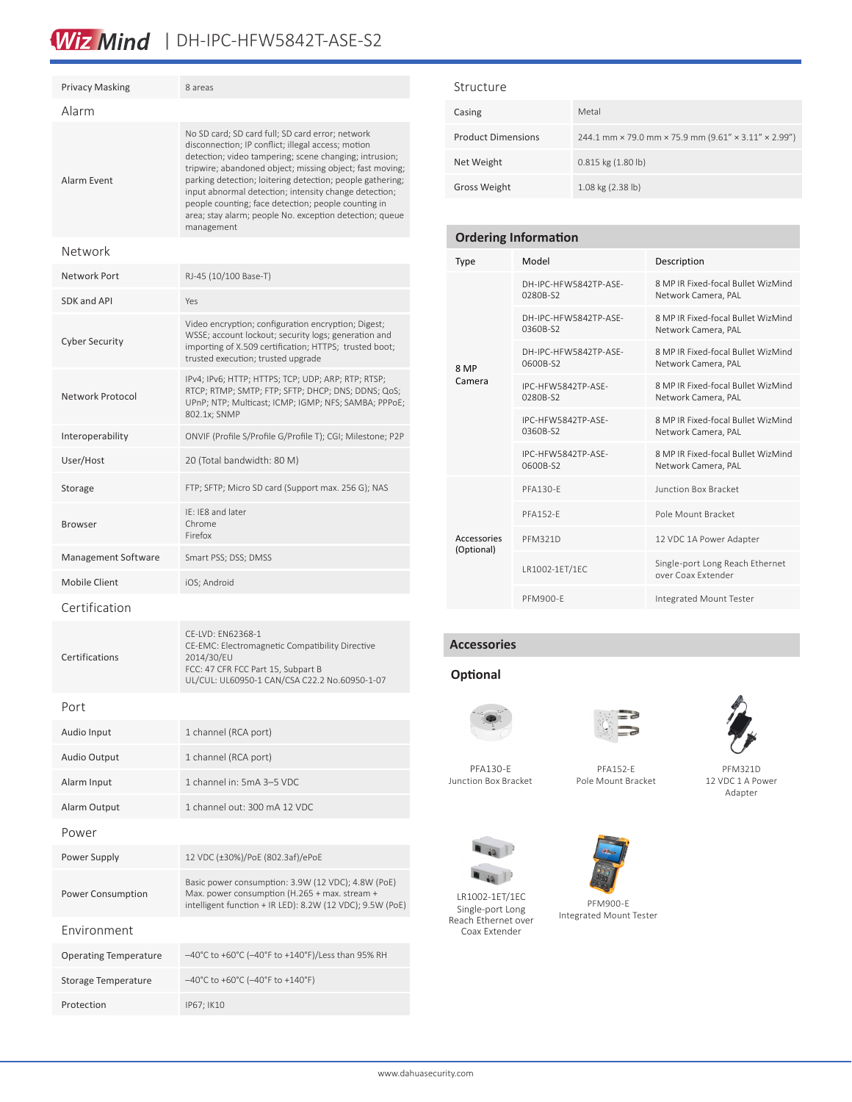### Wiz Mind | DH-IPC-HFW5842T-ASE-S2

| <b>Privacy Masking</b>       | 8 areas                                                                                                                                                                                                                                                                                                                                                                                                                                                                            |  |  |  |
|------------------------------|------------------------------------------------------------------------------------------------------------------------------------------------------------------------------------------------------------------------------------------------------------------------------------------------------------------------------------------------------------------------------------------------------------------------------------------------------------------------------------|--|--|--|
| Alarm                        |                                                                                                                                                                                                                                                                                                                                                                                                                                                                                    |  |  |  |
| Alarm Event                  | No SD card; SD card full; SD card error; network<br>disconnection; IP conflict; illegal access; motion<br>detection; video tampering; scene changing; intrusion;<br>tripwire; abandoned object; missing object; fast moving;<br>parking detection; loitering detection; people gathering;<br>input abnormal detection; intensity change detection;<br>people counting; face detection; people counting in<br>area; stay alarm; people No. exception detection; queue<br>management |  |  |  |
| Network                      |                                                                                                                                                                                                                                                                                                                                                                                                                                                                                    |  |  |  |
| Network Port                 | RJ-45 (10/100 Base-T)                                                                                                                                                                                                                                                                                                                                                                                                                                                              |  |  |  |
| SDK and API                  | Yes                                                                                                                                                                                                                                                                                                                                                                                                                                                                                |  |  |  |
| <b>Cyber Security</b>        | Video encryption; configuration encryption; Digest;<br>WSSE; account lockout; security logs; generation and<br>importing of X.509 certification; HTTPS; trusted boot;<br>trusted execution; trusted upgrade                                                                                                                                                                                                                                                                        |  |  |  |
| Network Protocol             | IPv4; IPv6; HTTP; HTTPS; TCP; UDP; ARP; RTP; RTSP;<br>RTCP; RTMP; SMTP; FTP; SFTP; DHCP; DNS; DDNS; QoS;<br>UPnP; NTP; Multicast; ICMP; IGMP; NFS; SAMBA; PPPoE;<br>802.1x; SNMP                                                                                                                                                                                                                                                                                                   |  |  |  |
| Interoperability             | ONVIF (Profile S/Profile G/Profile T); CGI; Milestone; P2P                                                                                                                                                                                                                                                                                                                                                                                                                         |  |  |  |
| User/Host                    | 20 (Total bandwidth: 80 M)                                                                                                                                                                                                                                                                                                                                                                                                                                                         |  |  |  |
| Storage                      | FTP; SFTP; Micro SD card (Support max. 256 G); NAS                                                                                                                                                                                                                                                                                                                                                                                                                                 |  |  |  |
| <b>Browser</b>               | IE: IE8 and later<br>Chrome<br>Firefox                                                                                                                                                                                                                                                                                                                                                                                                                                             |  |  |  |
| Management Software          | Smart PSS; DSS; DMSS                                                                                                                                                                                                                                                                                                                                                                                                                                                               |  |  |  |
| <b>Mobile Client</b>         | iOS; Android                                                                                                                                                                                                                                                                                                                                                                                                                                                                       |  |  |  |
| Certification                |                                                                                                                                                                                                                                                                                                                                                                                                                                                                                    |  |  |  |
| Certifications               | CE-LVD: EN62368-1<br>CE-EMC: Electromagnetic Compatibility Directive<br>2014/30/EU<br>FCC: 47 CFR FCC Part 15, Subpart B<br>UL/CUL: UL60950-1 CAN/CSA C22.2 No.60950-1-07                                                                                                                                                                                                                                                                                                          |  |  |  |
| Port                         |                                                                                                                                                                                                                                                                                                                                                                                                                                                                                    |  |  |  |
| Audio Input                  | 1 channel (RCA port)                                                                                                                                                                                                                                                                                                                                                                                                                                                               |  |  |  |
| <b>Audio Output</b>          | 1 channel (RCA port)                                                                                                                                                                                                                                                                                                                                                                                                                                                               |  |  |  |
| Alarm Input                  | 1 channel in: 5mA 3-5 VDC                                                                                                                                                                                                                                                                                                                                                                                                                                                          |  |  |  |
| Alarm Output                 | 1 channel out: 300 mA 12 VDC                                                                                                                                                                                                                                                                                                                                                                                                                                                       |  |  |  |
| Power                        |                                                                                                                                                                                                                                                                                                                                                                                                                                                                                    |  |  |  |
| Power Supply                 | 12 VDC (±30%)/PoE (802.3af)/ePoE                                                                                                                                                                                                                                                                                                                                                                                                                                                   |  |  |  |
| <b>Power Consumption</b>     | Basic power consumption: 3.9W (12 VDC); 4.8W (PoE)<br>Max. power consumption (H.265 + max. stream +<br>intelligent function + IR LED): 8.2W (12 VDC); 9.5W (PoE)                                                                                                                                                                                                                                                                                                                   |  |  |  |
| Environment                  |                                                                                                                                                                                                                                                                                                                                                                                                                                                                                    |  |  |  |
| <b>Operating Temperature</b> | -40°C to +60°C (-40°F to +140°F)/Less than 95% RH                                                                                                                                                                                                                                                                                                                                                                                                                                  |  |  |  |
| Storage Temperature          | $-40^{\circ}$ C to +60 $^{\circ}$ C (-40 $^{\circ}$ F to +140 $^{\circ}$ F)                                                                                                                                                                                                                                                                                                                                                                                                        |  |  |  |
| Protection                   | IP67; IK10                                                                                                                                                                                                                                                                                                                                                                                                                                                                         |  |  |  |

#### Structure

| Casing                    | Metal                                                |
|---------------------------|------------------------------------------------------|
| <b>Product Dimensions</b> | 244.1 mm × 79.0 mm × 75.9 mm (9.61" × 3.11" × 2.99") |
| Net Weight                | 0.815 kg (1.80 lb)                                   |
| <b>Gross Weight</b>       | 1.08 kg (2.38 lb)                                    |

#### **Ordering Information**

| Type                      | Model                             | Description                                               |  |
|---------------------------|-----------------------------------|-----------------------------------------------------------|--|
|                           | DH-IPC-HFW5842TP-ASF-<br>0280B-S2 | 8 MP IR Fixed-focal Bullet WizMind<br>Network Camera, PAL |  |
|                           | DH-IPC-HFW5842TP-ASF-<br>0360B-S2 | 8 MP IR Fixed-focal Bullet WizMind<br>Network Camera, PAL |  |
| 8 MP                      | DH-IPC-HFW5842TP-ASF-<br>0600B-S2 | 8 MP IR Fixed-focal Bullet WizMind<br>Network Camera, PAL |  |
| Camera                    | IPC-HEW5842TP-ASE-<br>0280B-S2    | 8 MP IR Fixed-focal Bullet WizMind<br>Network Camera, PAL |  |
|                           | IPC-HFW5842TP-ASF-<br>0360B-S2    | 8 MP IR Fixed-focal Bullet WizMind<br>Network Camera, PAL |  |
|                           | IPC-HFW5842TP-ASF-<br>0600B-S2    | 8 MP IR Fixed-focal Bullet WizMind<br>Network Camera, PAL |  |
|                           | PFA130-F                          | <b>Junction Box Bracket</b>                               |  |
|                           | <b>PFA152-F</b>                   | Pole Mount Bracket                                        |  |
| Accessories<br>(Optional) | <b>PFM321D</b>                    | 12 VDC 1A Power Adapter                                   |  |
|                           | LR1002-1ET/1EC                    | Single-port Long Reach Ethernet<br>over Coax Extender     |  |
|                           | PFM900-F                          | Integrated Mount Tester                                   |  |

#### **Accessories**

#### **Optional**



PFA130-E





Junction Box Bracket

PFA152-E Pole Mount Bracket

PFM321D 12 VDC 1 A Power Adapter



LR1002-1ET/1EC Single-port Long Reach Ethernet over Coax Extender



PFM900-E Integrated Mount Tester